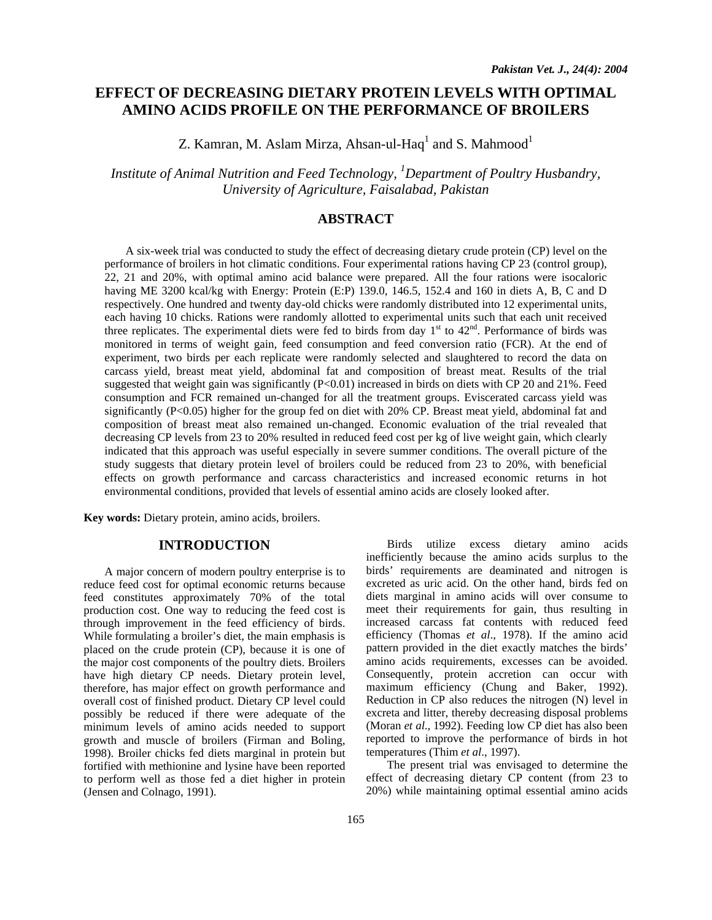# **EFFECT OF DECREASING DIETARY PROTEIN LEVELS WITH OPTIMAL AMINO ACIDS PROFILE ON THE PERFORMANCE OF BROILERS**

Z. Kamran, M. Aslam Mirza, Ahsan-ul-Haq $^{\rm l}$  and S. Mahmood $^{\rm l}$ 

*Institute of Animal Nutrition and Feed Technology, <sup>1</sup> Department of Poultry Husbandry, University of Agriculture, Faisalabad, Pakistan* 

# **ABSTRACT**

A six-week trial was conducted to study the effect of decreasing dietary crude protein (CP) level on the performance of broilers in hot climatic conditions. Four experimental rations having CP 23 (control group), 22, 21 and 20%, with optimal amino acid balance were prepared. All the four rations were isocaloric having ME 3200 kcal/kg with Energy: Protein (E:P) 139.0, 146.5, 152.4 and 160 in diets A, B, C and D respectively. One hundred and twenty day-old chicks were randomly distributed into 12 experimental units, each having 10 chicks. Rations were randomly allotted to experimental units such that each unit received three replicates. The experimental diets were fed to birds from day  $1<sup>st</sup>$  to  $42<sup>nd</sup>$ . Performance of birds was monitored in terms of weight gain, feed consumption and feed conversion ratio (FCR). At the end of experiment, two birds per each replicate were randomly selected and slaughtered to record the data on carcass yield, breast meat yield, abdominal fat and composition of breast meat. Results of the trial suggested that weight gain was significantly (P<0.01) increased in birds on diets with CP 20 and 21%. Feed consumption and FCR remained un-changed for all the treatment groups. Eviscerated carcass yield was significantly (P<0.05) higher for the group fed on diet with 20% CP. Breast meat yield, abdominal fat and composition of breast meat also remained un-changed. Economic evaluation of the trial revealed that decreasing CP levels from 23 to 20% resulted in reduced feed cost per kg of live weight gain, which clearly indicated that this approach was useful especially in severe summer conditions. The overall picture of the study suggests that dietary protein level of broilers could be reduced from 23 to 20%, with beneficial effects on growth performance and carcass characteristics and increased economic returns in hot environmental conditions, provided that levels of essential amino acids are closely looked after.

**Key words:** Dietary protein, amino acids, broilers.

### **INTRODUCTION**

 A major concern of modern poultry enterprise is to reduce feed cost for optimal economic returns because feed constitutes approximately 70% of the total production cost. One way to reducing the feed cost is through improvement in the feed efficiency of birds. While formulating a broiler's diet, the main emphasis is placed on the crude protein (CP), because it is one of the major cost components of the poultry diets. Broilers have high dietary CP needs. Dietary protein level, therefore, has major effect on growth performance and overall cost of finished product. Dietary CP level could possibly be reduced if there were adequate of the minimum levels of amino acids needed to support growth and muscle of broilers (Firman and Boling, 1998). Broiler chicks fed diets marginal in protein but fortified with methionine and lysine have been reported to perform well as those fed a diet higher in protein (Jensen and Colnago, 1991).

Birds utilize excess dietary amino acids inefficiently because the amino acids surplus to the birds' requirements are deaminated and nitrogen is excreted as uric acid. On the other hand, birds fed on diets marginal in amino acids will over consume to meet their requirements for gain, thus resulting in increased carcass fat contents with reduced feed efficiency (Thomas *et al*., 1978). If the amino acid pattern provided in the diet exactly matches the birds' amino acids requirements, excesses can be avoided. Consequently, protein accretion can occur with maximum efficiency (Chung and Baker, 1992). Reduction in CP also reduces the nitrogen (N) level in excreta and litter, thereby decreasing disposal problems (Moran *et al*., 1992). Feeding low CP diet has also been reported to improve the performance of birds in hot temperatures (Thim *et al*., 1997).

The present trial was envisaged to determine the effect of decreasing dietary CP content (from 23 to 20%) while maintaining optimal essential amino acids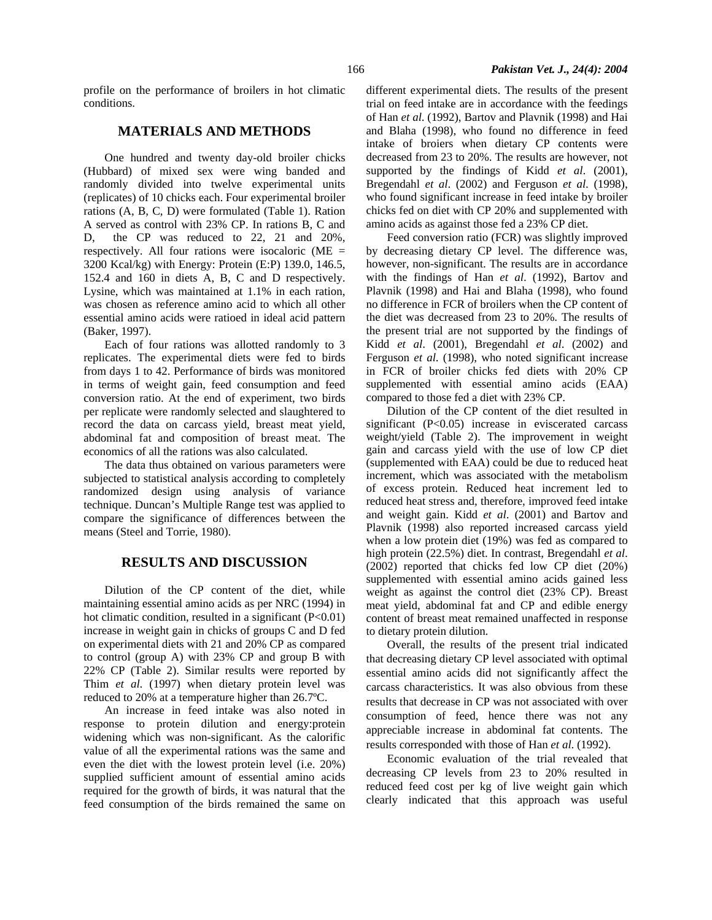profile on the performance of broilers in hot climatic conditions.

## **MATERIALS AND METHODS**

One hundred and twenty day-old broiler chicks (Hubbard) of mixed sex were wing banded and randomly divided into twelve experimental units (replicates) of 10 chicks each. Four experimental broiler rations (A, B, C, D) were formulated (Table 1). Ration A served as control with 23% CP. In rations B, C and D, the CP was reduced to 22, 21 and 20%, respectively. All four rations were isocaloric ( $ME =$ 3200 Kcal/kg) with Energy: Protein (E:P) 139.0, 146.5, 152.4 and 160 in diets A, B, C and D respectively. Lysine, which was maintained at 1.1% in each ration, was chosen as reference amino acid to which all other essential amino acids were ratioed in ideal acid pattern (Baker, 1997).

Each of four rations was allotted randomly to 3 replicates. The experimental diets were fed to birds from days 1 to 42. Performance of birds was monitored in terms of weight gain, feed consumption and feed conversion ratio. At the end of experiment, two birds per replicate were randomly selected and slaughtered to record the data on carcass yield, breast meat yield, abdominal fat and composition of breast meat. The economics of all the rations was also calculated.

The data thus obtained on various parameters were subjected to statistical analysis according to completely randomized design using analysis of variance technique. Duncan's Multiple Range test was applied to compare the significance of differences between the means (Steel and Torrie, 1980).

## **RESULTS AND DISCUSSION**

 Dilution of the CP content of the diet, while maintaining essential amino acids as per NRC (1994) in hot climatic condition, resulted in a significant  $(P<0.01)$ increase in weight gain in chicks of groups C and D fed on experimental diets with 21 and 20% CP as compared to control (group A) with 23% CP and group B with 22% CP (Table 2). Similar results were reported by Thim *et al*. (1997) when dietary protein level was reduced to 20% at a temperature higher than 26.7ºC.

 An increase in feed intake was also noted in response to protein dilution and energy:protein widening which was non-significant. As the calorific value of all the experimental rations was the same and even the diet with the lowest protein level (i.e. 20%) supplied sufficient amount of essential amino acids required for the growth of birds, it was natural that the feed consumption of the birds remained the same on different experimental diets. The results of the present trial on feed intake are in accordance with the feedings of Han *et al*. (1992), Bartov and Plavnik (1998) and Hai and Blaha (1998), who found no difference in feed intake of broiers when dietary CP contents were decreased from 23 to 20%. The results are however, not supported by the findings of Kidd *et al*. (2001), Bregendahl *et al*. (2002) and Ferguson *et al*. (1998), who found significant increase in feed intake by broiler chicks fed on diet with CP 20% and supplemented with amino acids as against those fed a 23% CP diet.

 Feed conversion ratio (FCR) was slightly improved by decreasing dietary CP level. The difference was, however, non-significant. The results are in accordance with the findings of Han *et al*. (1992), Bartov and Plavnik (1998) and Hai and Blaha (1998), who found no difference in FCR of broilers when the CP content of the diet was decreased from 23 to 20%. The results of the present trial are not supported by the findings of Kidd *et al*. (2001), Bregendahl *et al*. (2002) and Ferguson *et al*. (1998), who noted significant increase in FCR of broiler chicks fed diets with 20% CP supplemented with essential amino acids (EAA) compared to those fed a diet with 23% CP.

 Dilution of the CP content of the diet resulted in significant (P<0.05) increase in eviscerated carcass weight/yield (Table 2). The improvement in weight gain and carcass yield with the use of low CP diet (supplemented with EAA) could be due to reduced heat increment, which was associated with the metabolism of excess protein. Reduced heat increment led to reduced heat stress and, therefore, improved feed intake and weight gain. Kidd *et al*. (2001) and Bartov and Plavnik (1998) also reported increased carcass yield when a low protein diet (19%) was fed as compared to high protein (22.5%) diet. In contrast, Bregendahl *et al*. (2002) reported that chicks fed low CP diet (20%) supplemented with essential amino acids gained less weight as against the control diet (23% CP). Breast meat yield, abdominal fat and CP and edible energy content of breast meat remained unaffected in response to dietary protein dilution.

 Overall, the results of the present trial indicated that decreasing dietary CP level associated with optimal essential amino acids did not significantly affect the carcass characteristics. It was also obvious from these results that decrease in CP was not associated with over consumption of feed, hence there was not any appreciable increase in abdominal fat contents. The results corresponded with those of Han *et al*. (1992).

 Economic evaluation of the trial revealed that decreasing CP levels from 23 to 20% resulted in reduced feed cost per kg of live weight gain which clearly indicated that this approach was useful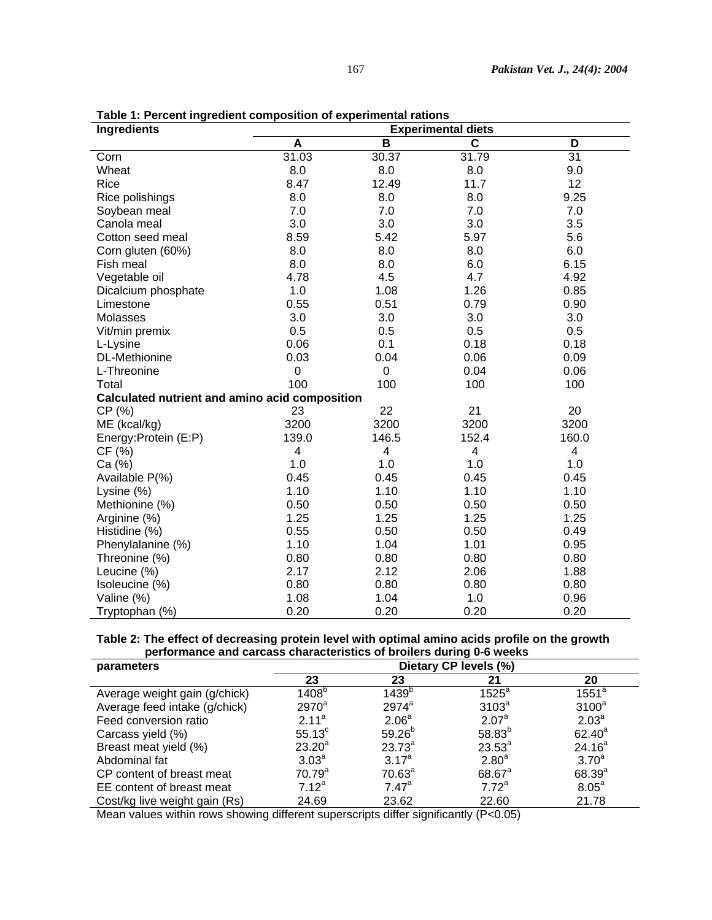| Ingredients                                           | <b>Experimental diets</b> |       |             |       |  |  |  |
|-------------------------------------------------------|---------------------------|-------|-------------|-------|--|--|--|
|                                                       | A                         | B     | $\mathbf c$ | D     |  |  |  |
| Corn                                                  | 31.03                     | 30.37 | 31.79       | 31    |  |  |  |
| Wheat                                                 | 8.0                       | 8.0   | 8.0         | 9.0   |  |  |  |
| Rice                                                  | 8.47                      | 12.49 | 11.7        | 12    |  |  |  |
| Rice polishings                                       | 8.0                       | 8.0   | 8.0         | 9.25  |  |  |  |
| Soybean meal                                          | 7.0                       | 7.0   | 7.0         | 7.0   |  |  |  |
| Canola meal                                           | 3.0                       | 3.0   | 3.0         | 3.5   |  |  |  |
| Cotton seed meal                                      | 8.59                      | 5.42  | 5.97        | 5.6   |  |  |  |
| Corn gluten (60%)                                     | 8.0                       | 8.0   | 8.0         | 6.0   |  |  |  |
| Fish meal                                             | 8.0                       | 8.0   | 6.0         | 6.15  |  |  |  |
| Vegetable oil                                         | 4.78                      | 4.5   | 4.7         | 4.92  |  |  |  |
| Dicalcium phosphate                                   | 1.0                       | 1.08  | 1.26        | 0.85  |  |  |  |
| Limestone                                             | 0.55                      | 0.51  | 0.79        | 0.90  |  |  |  |
| Molasses                                              | 3.0                       | 3.0   | 3.0         | 3.0   |  |  |  |
| Vit/min premix                                        | 0.5                       | 0.5   | 0.5         | 0.5   |  |  |  |
| L-Lysine                                              | 0.06                      | 0.1   | 0.18        | 0.18  |  |  |  |
| <b>DL-Methionine</b>                                  | 0.03                      | 0.04  | 0.06        | 0.09  |  |  |  |
| L-Threonine                                           | 0                         | 0     | 0.04        | 0.06  |  |  |  |
| Total                                                 | 100                       | 100   | 100         | 100   |  |  |  |
| <b>Calculated nutrient and amino acid composition</b> |                           |       |             |       |  |  |  |
| CP (%)                                                | 23                        | 22    | 21          | 20    |  |  |  |
| ME (kcal/kg)                                          | 3200                      | 3200  | 3200        | 3200  |  |  |  |
| Energy: Protein (E:P)                                 | 139.0                     | 146.5 | 152.4       | 160.0 |  |  |  |
| CF(%)                                                 | 4                         | 4     | 4           | 4     |  |  |  |
| Ca (%)                                                | 1.0                       | 1.0   | 1.0         | 1.0   |  |  |  |
| Available P(%)                                        | 0.45                      | 0.45  | 0.45        | 0.45  |  |  |  |
| Lysine (%)                                            | 1.10                      | 1.10  | 1.10        | 1.10  |  |  |  |
| Methionine (%)                                        | 0.50                      | 0.50  | 0.50        | 0.50  |  |  |  |
| Arginine (%)                                          | 1.25                      | 1.25  | 1.25        | 1.25  |  |  |  |
| Histidine (%)                                         | 0.55                      | 0.50  | 0.50        | 0.49  |  |  |  |
| Phenylalanine (%)                                     | 1.10                      | 1.04  | 1.01        | 0.95  |  |  |  |
| Threonine (%)                                         | 0.80                      | 0.80  | 0.80        | 0.80  |  |  |  |
| Leucine (%)                                           | 2.17                      | 2.12  | 2.06        | 1.88  |  |  |  |
| Isoleucine (%)                                        | 0.80                      | 0.80  | 0.80        | 0.80  |  |  |  |
| Valine (%)                                            | 1.08                      | 1.04  | 1.0         | 0.96  |  |  |  |
| Tryptophan (%)                                        | 0.20                      | 0.20  | 0.20        | 0.20  |  |  |  |

**Table 1: Percent ingredient composition of experimental rations** 

#### **Table 2: The effect of decreasing protein level with optimal amino acids profile on the growth performance and carcass characteristics of broilers during 0-6 weeks**   $\overline{a}$

| parameters                    | Dietary CP levels (%) |                   |                   |                    |  |
|-------------------------------|-----------------------|-------------------|-------------------|--------------------|--|
|                               | 23                    | 23                | 21                | 20                 |  |
| Average weight gain (g/chick) | 1408 <sup>b</sup>     | 1439 <sup>b</sup> | $1525^a$          | $1551^a$           |  |
| Average feed intake (g/chick) | $2970^a$              | $2974^a$          | 3103 <sup>a</sup> | $3100^a$           |  |
| Feed conversion ratio         | $2.11^a$              | 2.06 <sup>a</sup> | 2.07 <sup>a</sup> | 2.03 <sup>a</sup>  |  |
| Carcass yield (%)             | $55.13^{\circ}$       | $59.26^{b}$       | $58.83^{b}$       | $62.40^a$          |  |
| Breast meat yield (%)         | $23.20^a$             | $23.73^{a}$       | $23.53^{a}$       | 24.16 <sup>a</sup> |  |
| Abdominal fat                 | 3.03 <sup>a</sup>     | $3.17^{a}$        | 2.80 <sup>a</sup> | 3.70 <sup>a</sup>  |  |
| CP content of breast meat     | 70.79 <sup>a</sup>    | $70.63^a$         | $68.67^{\circ}$   | $68.39^{a}$        |  |
| EE content of breast meat     | $7.12^a$              | $7.47^a$          | $7.72^a$          | 8.05 <sup>a</sup>  |  |
| Cost/kg live weight gain (Rs) | 24.69                 | 23.62             | 22.60             | 21.78              |  |

Mean values within rows showing different superscripts differ significantly (P<0.05)